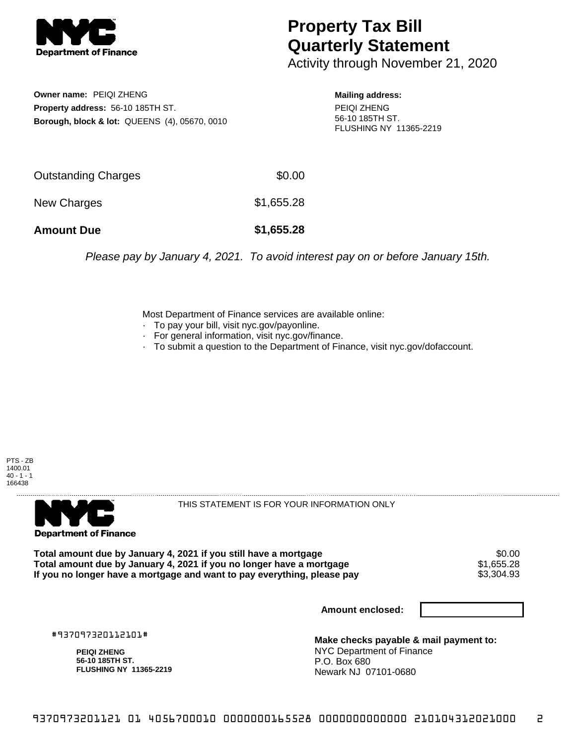

## **Property Tax Bill Quarterly Statement**

Activity through November 21, 2020

**Owner name:** PEIQI ZHENG **Property address:** 56-10 185TH ST. **Borough, block & lot:** QUEENS (4), 05670, 0010

**Mailing address:** PEIQI ZHENG 56-10 185TH ST. FLUSHING NY 11365-2219

| <b>Amount Due</b>   | \$1,655.28 |
|---------------------|------------|
| New Charges         | \$1,655.28 |
| Outstanding Charges | \$0.00     |

Please pay by January 4, 2021. To avoid interest pay on or before January 15th.

Most Department of Finance services are available online:

- · To pay your bill, visit nyc.gov/payonline.
- For general information, visit nyc.gov/finance.
- · To submit a question to the Department of Finance, visit nyc.gov/dofaccount.





THIS STATEMENT IS FOR YOUR INFORMATION ONLY

Total amount due by January 4, 2021 if you still have a mortgage \$0.00<br>Total amount due by January 4, 2021 if you no longer have a mortgage \$1.655.28 **Total amount due by January 4, 2021 if you no longer have a mortgage**  $$1,655.28$ **<br>If you no longer have a mortgage and want to pay everything, please pay <b>show that have a** \$3,304.93 If you no longer have a mortgage and want to pay everything, please pay

**Amount enclosed:**

#937097320112101#

**PEIQI ZHENG 56-10 185TH ST. FLUSHING NY 11365-2219**

**Make checks payable & mail payment to:** NYC Department of Finance P.O. Box 680 Newark NJ 07101-0680